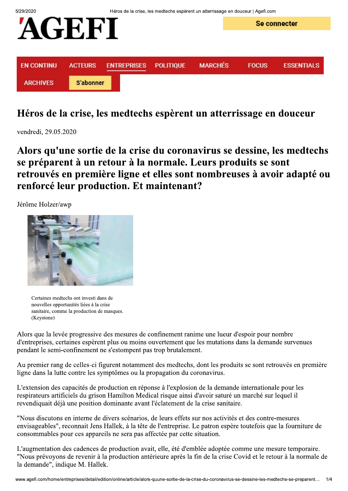

## Héros de la crise, les medtechs espèrent un atterrissage en douceur

vendredi, 29.05.2020

Alors qu'une sortie de la crise du coronavirus se dessine, les medtechs se préparent à un retour à la normale. Leurs produits se sont retrouvés en première ligne et elles sont nombreuses à avoir adapté ou renforcé leur production. Et maintenant?

Jérôme Holzer/awp



Certaines medtechs ont investi dans de nouvelles opportunités liées à la crise sanitaire, comme la production de masques. (Keystone)

Alors que la levée progressive des mesures de confinement ranime une lueur d'espoir pour nombre d'entreprises, certaines espèrent plus ou moins ouvertement que les mutations dans la demande survenues pendant le semi-confinement ne s'estompent pas trop brutalement.

Au premier rang de celles-ci figurent notamment des medtechs, dont les produits se sont retrouvés en première ligne dans la lutte contre les symptômes ou la propagation du coronavirus.

L'extension des capacités de production en réponse à l'explosion de la demande internationale pour les respirateurs artificiels du grison Hamilton Medical risque ainsi d'avoir saturé un marché sur lequel il revendiquait déjà une position dominante avant l'éclatement de la crise sanitaire.

"Nous discutons en interne de divers scénarios, de leurs effets sur nos activités et des contre-mesures envisageables", reconnait Jens Hallek, à la tête de l'entreprise. Le patron espère toutefois que la fourniture de consommables pour ces appareils ne sera pas affectée par cette situation.

L'augmentation des cadences de production avait, elle, été d'emblée adoptée comme une mesure temporaire. "Nous prévoyons de revenir à la production antérieure après la fin de la crise Covid et le retour à la normale de la demande", indique M. Hallek.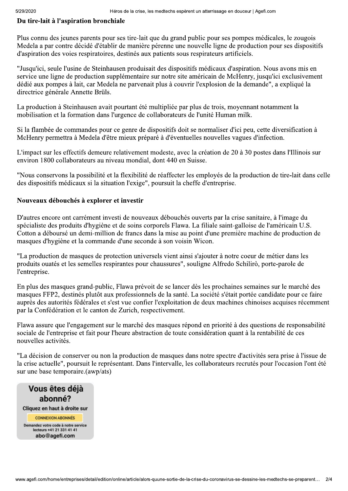### Du tire-lait à l'aspiration bronchiale

Plus connu des jeunes parents pour ses tire-lait que du grand public pour ses pompes médicales, le zougois Medela a par contre décidé d'établir de manière pérenne une nouvelle ligne de production pour ses dispositifs d'aspiration des voies respiratoires, destinés aux patients sous respirateurs artificiels.

"Jusqu'ici, seule l'usine de Steinhausen produisait des dispositifs médicaux d'aspiration. Nous avons mis en service une ligne de production supplémentaire sur notre site américain de McHenry, jusqu'ici exclusivement dédié aux pompes à lait, car Medela ne parvenait plus à couvrir l'explosion de la demande", a expliqué la directrice générale Annette Brüls.

La production à Steinhausen avait pourtant été multipliée par plus de trois, moyennant notamment la mobilisation et la formation dans l'urgence de collaborateurs de l'unité Human milk.

Si la flambée de commandes pour ce genre de dispositifs doit se normaliser d'ici peu, cette diversification à McHenry permettra à Medela d'être mieux préparé à d'éventuelles nouvelles vagues d'infection.

L'impact sur les effectifs demeure relativement modeste, avec la création de 20 à 30 postes dans l'Illinois sur environ 1800 collaborateurs au niveau mondial, dont 440 en Suisse.

"Nous conservons la possibilité et la flexibilité de réaffecter les employés de la production de tire-lait dans celle des dispositifs médicaux si la situation l'exige", poursuit la cheffe d'entreprise.

#### Nouveaux débouchés à explorer et investir

D'autres encore ont carrément investi de nouveaux débouchés ouverts par la crise sanitaire, à l'image du spécialiste des produits d'hygiène et de soins corporels Flawa. La filiale saint-galloise de l'américain U.S. Cotton a déboursé un demi-million de francs dans la mise au point d'une première machine de production de masques d'hygiène et la commande d'une seconde à son voisin Wicon.

"La production de masques de protection universels vient ainsi s'ajouter à notre coeur de métier dans les produits ouatés et les semelles respirantes pour chaussures", souligne Alfredo Schilirò, porte-parole de l'entreprise.

En plus des masques grand-public, Flawa prévoit de se lancer dès les prochaines semaines sur le marché des masques FFP2, destinés plutôt aux professionnels de la santé. La société s'était portée candidate pour ce faire auprès des autorités fédérales et s'est vue confier l'exploitation de deux machines chinoises acquises récemment par la Confédération et le canton de Zurich, respectivement.

Flawa assure que l'engagement sur le marché des masques répond en priorité à des questions de responsabilité sociale de l'entreprise et fait pour l'heure abstraction de toute considération quant à la rentabilité de ces nouvelles activités.

"La décision de conserver ou non la production de masques dans notre spectre d'activités sera prise à l'issue de la crise actuelle", poursuit le représentant. Dans l'intervalle, les collaborateurs recrutés pour l'occasion l'ont été sur une base temporaire.(awp/ats)

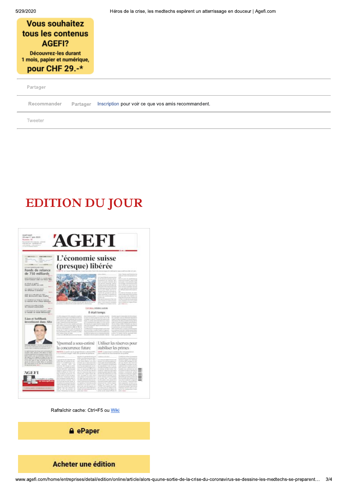| <b>Vous souhaitez</b><br>tous les contenus<br>AGEFI?<br>Découvrez-les durant<br>1 mois, papier et numérique, |          |                                                     |
|--------------------------------------------------------------------------------------------------------------|----------|-----------------------------------------------------|
| pour CHF 29.-*<br>Partager                                                                                   |          |                                                     |
| Recommander                                                                                                  | Partager | Inscription pour voir ce que vos amis recommandent. |
| Tweeter                                                                                                      |          |                                                     |

# **EDITION DU JOUR**

| <b>BOW (1985 T/F/A)</b><br>U. PLAN THROPED HUMAN ERALL                                                                                                                                                                                                                                                   | L'économie suisse<br>(presque) libérée                                                                                                                                                                                                                                                                                                                                                                                                                                                      |                                                                                                                                                                                                                                                                                                                                                                                                                                                                                                                                                                                                                                                                                                                                                                                                                                                                                                        |
|----------------------------------------------------------------------------------------------------------------------------------------------------------------------------------------------------------------------------------------------------------------------------------------------------------|---------------------------------------------------------------------------------------------------------------------------------------------------------------------------------------------------------------------------------------------------------------------------------------------------------------------------------------------------------------------------------------------------------------------------------------------------------------------------------------------|--------------------------------------------------------------------------------------------------------------------------------------------------------------------------------------------------------------------------------------------------------------------------------------------------------------------------------------------------------------------------------------------------------------------------------------------------------------------------------------------------------------------------------------------------------------------------------------------------------------------------------------------------------------------------------------------------------------------------------------------------------------------------------------------------------------------------------------------------------------------------------------------------------|
| Fonds de relance<br>de 750 milliards                                                                                                                                                                                                                                                                     |                                                                                                                                                                                                                                                                                                                                                                                                                                                                                             | my conditions allowed pure<br>External Computer and Extens from the                                                                                                                                                                                                                                                                                                                                                                                                                                                                                                                                                                                                                                                                                                                                                                                                                                    |
| istricturers in 1993 12 to income.                                                                                                                                                                                                                                                                       |                                                                                                                                                                                                                                                                                                                                                                                                                                                                                             | Seattless Aid August 45 percent days best in case.<br>East Colorado International<br>--<br>A retroit of a contract and a<br>One and cards for manufacture                                                                                                                                                                                                                                                                                                                                                                                                                                                                                                                                                                                                                                                                                                                                              |
| <b>SHOW: A</b><br>actives to open.<br>Earpier stoffs net unit                                                                                                                                                                                                                                            |                                                                                                                                                                                                                                                                                                                                                                                                                                                                                             | planetes (c) that converse statist<br>present propile cataly in the<br>also la reprezi causion que-<br>protectable Crisis and or plan in large<br>Line Minimize Institutions: Eastmale<br>lands developed FR att inconstructed decise<br>develops receiver to concerning that                                                                                                                                                                                                                                                                                                                                                                                                                                                                                                                                                                                                                          |
| WORK MADE ET ENGINEERS                                                                                                                                                                                                                                                                                   |                                                                                                                                                                                                                                                                                                                                                                                                                                                                                             | and in models the story deal the<br>resistant for the market<br>front street of primary launch<br>terior and generated retraint ancie in<br>trusteensheet conservant circle edite<br>(4) he's color Transition and has ento<br>ally 1990 always send addition to player                                                                                                                                                                                                                                                                                                                                                                                                                                                                                                                                                                                                                                |
| De affalme à unabien<br>WHAT OF THE MALEMARK OR WINDS.                                                                                                                                                                                                                                                   |                                                                                                                                                                                                                                                                                                                                                                                                                                                                                             | instered practiced is mornings in<br><b>Service</b><br>Encomplete des Bostons, les cons-<br>castile der groups or plan in<br>plain prevents a station de<br>or but classics polar tripical polarisms.                                                                                                                                                                                                                                                                                                                                                                                                                                                                                                                                                                                                                                                                                                  |
| RAG desinestik dans Stadies<br>SATARING AT 16 PARKERS DIVISION                                                                                                                                                                                                                                           |                                                                                                                                                                                                                                                                                                                                                                                                                                                                                             | NOWELL BANK FOR THAT AT UP IN<br>detection resultings as The<br>Form com-<br>Exerces could per Exerces<br>River may be described in Filipines<br>La 2 de monte a determinada e a contenente                                                                                                                                                                                                                                                                                                                                                                                                                                                                                                                                                                                                                                                                                                            |
| Lo menuele d'un climat delittere<br>dealer and                                                                                                                                                                                                                                                           | <b>AT THE CITY AT THE YEAR</b>                                                                                                                                                                                                                                                                                                                                                                                                                                                              | build crafted discounts ( E.S. Jack<br>toma verioscotta al Vice not di cadine-<br>starks of work biogenesis unterstand a<br>send is intellik stell terms fielders<br>For a sense me is convenient in relative<br>give Amado to 1                                                                                                                                                                                                                                                                                                                                                                                                                                                                                                                                                                                                                                                                       |
| <b>I MARTE BE EARNE PUTHON</b><br>18) yellowed a mobileable?<br><b>GALLY</b>                                                                                                                                                                                                                             |                                                                                                                                                                                                                                                                                                                                                                                                                                                                                             | EDITORIAL REDERIC LEGEVIE                                                                                                                                                                                                                                                                                                                                                                                                                                                                                                                                                                                                                                                                                                                                                                                                                                                                              |
| scali come in a suscentivos come                                                                                                                                                                                                                                                                         |                                                                                                                                                                                                                                                                                                                                                                                                                                                                                             | Il était temps                                                                                                                                                                                                                                                                                                                                                                                                                                                                                                                                                                                                                                                                                                                                                                                                                                                                                         |
| Lian et SoftBank                                                                                                                                                                                                                                                                                         | Arrivalar W. Jank de Tricacione de States (Aughte<br>to determine for a framely at a conduction directive on the de-                                                                                                                                                                                                                                                                                                                                                                        | results provide a relationship changing the state of<br>fronto in contrast cheru nuovato doveza chieste.<br>independence for all on installation development is                                                                                                                                                                                                                                                                                                                                                                                                                                                                                                                                                                                                                                                                                                                                        |
| investissent dans Alto                                                                                                                                                                                                                                                                                   | A 10-exec in per sinter, relaxador principal<br>to MAY consent to the top Americans !<br>which been city in complex to children area<br>above and in contaminations of cars. Track doc-<br>sion, have broughed to Address 1990 per<br>berrik Counciles<br>this ArizontialPart 3 Fold Florida do its<br>prestrated the content of a state of the state and not<br>intrustriousness adds formation to radius<br>next college to the recipits.<br>chairs are often all contains recommendation | to a consent to be raise electrical in<br>Lodie of Library and makes paid claims<br>this are excitents that the characterization and an a<br>the most arc do hopey it and a higher above<br>Lake Lind an oncide Tragent of collection from<br>possed as with 1 and page Contract in parties the<br>and booking cars three interesting<br>THE CALIFORNIA COLOR CONTRACTOR IN A REPORT FOLLOWS<br>is to determine provide the company was to pay to be a formed<br>printmaker as planks between a Franch and all depicted in<br>are an instrumental rests single 1 limit also a determination<br>went to an involve on the test research that it and<br>a determine on access distinguished in the case of the con-<br>the 99 sell applies in the company excellent<br>synthese of all present than the interminate helic<br>look at it fast through trend mile the look<br>form an on-second control at |
|                                                                                                                                                                                                                                                                                                          |                                                                                                                                                                                                                                                                                                                                                                                                                                                                                             |                                                                                                                                                                                                                                                                                                                                                                                                                                                                                                                                                                                                                                                                                                                                                                                                                                                                                                        |
| is entered as completely to \$1.00                                                                                                                                                                                                                                                                       | la concurrence future                                                                                                                                                                                                                                                                                                                                                                                                                                                                       | Ypsomed a sous-estimé   Utiliser les réserves pour<br>stabiliser les primes                                                                                                                                                                                                                                                                                                                                                                                                                                                                                                                                                                                                                                                                                                                                                                                                                            |
| in tradition changes from the cash as another<br>Asianov (1981), personal J. Pel. sellero de Asiano                                                                                                                                                                                                      | HESTIGOR, La pacificant da governmental a citaté de BPG<br>a 11.5 millions traight l'esser des cycleres de porturist                                                                                                                                                                                                                                                                                                                                                                        | <b>SAMT</b> . Concertaint Candidate Bd ratio proposition<br>aring conforting an finantinement discussions.                                                                                                                                                                                                                                                                                                                                                                                                                                                                                                                                                                                                                                                                                                                                                                                             |
|                                                                                                                                                                                                                                                                                                          | attempt in general benefits all<br>TOTAL CALL<br>4 Stres and Germany Link State                                                                                                                                                                                                                                                                                                                                                                                                             | Confidence of her the stressed on<br><b>DARRAHOME</b><br>all charges and a state of the competition of the state                                                                                                                                                                                                                                                                                                                                                                                                                                                                                                                                                                                                                                                                                                                                                                                       |
| or presentation in a manual studies of the<br>THE RIGHT CARS ON WINNIPER JEOUXLA WAS<br>10 adjace at 11 telliger in caller in your circ<br>layer and all as spray Flaventham let be in- A<br>at \$6 least claims in other for history, that classify<br>power in farming of Galdy offices, on anchellent | cognomiento del Constal, al-<br>Triba Melondo Installator Theo-<br>called date interministic divisio-<br>and Mass Moley ant-easy                                                                                                                                                                                                                                                                                                                                                            | ad strategic appartments and<br>meters 4-paper in learner<br>dealership this process parents who<br>I hallshow their prestage for last                                                                                                                                                                                                                                                                                                                                                                                                                                                                                                                                                                                                                                                                                                                                                                 |
| the new hings of an increase business<br>in take a divide starts must a                                                                                                                                                                                                                                  | Dune of its Entertaining at a year<br>declarated state by based stands have<br>and 'sever (Security Gen)<br>to use a relativity and all look in the<br>terminal direct director in hims<br>date of the post-triagenal applicable effec-                                                                                                                                                                                                                                                     | mixed to dealers show all tomatics and Rice<br>ally the genetic first deposites<br>lates. Excellent in entire and man-<br>Plus Thing in buildight or com-<br>in law street Great 10 as los-<br><b>DARRICH AND IT BASELINESSES</b>                                                                                                                                                                                                                                                                                                                                                                                                                                                                                                                                                                                                                                                                      |
|                                                                                                                                                                                                                                                                                                          | www.brit.hadded-& these.<br>Chevy most fairings with<br>the state and difficult and 11 conditions of their<br>ist of the measured effects? was                                                                                                                                                                                                                                                                                                                                              | The participant and control and<br>parameters industries for<br>As Greece di-sent scion 2 be<br>recursive lane rentmend as and                                                                                                                                                                                                                                                                                                                                                                                                                                                                                                                                                                                                                                                                                                                                                                         |
| AGEFI                                                                                                                                                                                                                                                                                                    | ensert a linearist Street in La<br>Kiwa Copy plan also just planalist<br>achievement in cash<br>most of the detroit axid. Schools, but you.<br>lenters away "August, Sileane Mil-<br>level de Electra de metal de 1851.                                                                                                                                                                                                                                                                     | astation Conflictories progen-<br>the strategic in age is instruments<br>all about a conductor and a ser-<br>contents Assessment shring<br>(in full our prignation givines).<br>Combine buying and it paper-                                                                                                                                                                                                                                                                                                                                                                                                                                                                                                                                                                                                                                                                                           |
|                                                                                                                                                                                                                                                                                                          | efter harp an Hot-Jenare-<br>ided torosmen on serve area)<br>carled enter Thinesthein Earning<br>ingen editorer to constructure a d co-                                                                                                                                                                                                                                                                                                                                                     | Interpretation (and it primation) a six by<br>des bisinhamiseres basiciles nu-<br>ported skateries worthy a markinger<br>and state and sandor determined                                                                                                                                                                                                                                                                                                                                                                                                                                                                                                                                                                                                                                                                                                                                               |
| Arthualitat ant Londo                                                                                                                                                                                                                                                                                    | propriate investor is consistent agents for<br>int blue it group would reli-<br>by lack came in Chevroleta, Anni-<br>three doesn' private transition day on the case.<br>Lot & process harmon model de-<br>integra d'aquis domestide profitationi.                                                                                                                                                                                                                                          | by sylvant 2021, Suite Clindle<br>litheral particles planet printeriors and<br>accide lately city instanting.<br>tracy stred is calaronic paraposed<br>In the Atlantich Languagearant<br>an artist provided could access at                                                                                                                                                                                                                                                                                                                                                                                                                                                                                                                                                                                                                                                                            |
|                                                                                                                                                                                                                                                                                                          | or manager transmission and<br>information to make a line diver<br>paire thinking per telulary<br>between the court stage of the clean<br>ma Five Analysis Cropper<br>pre-termed loan toan outputs and                                                                                                                                                                                                                                                                                      | what demonstration policy<br>allowance to that container it believes<br>labic do prime little par<br>rue in emotivemental<br>FLIFTEN Lynk markets at stand<br>interesting exclusively (Taylord and                                                                                                                                                                                                                                                                                                                                                                                                                                                                                                                                                                                                                                                                                                     |
|                                                                                                                                                                                                                                                                                                          |                                                                                                                                                                                                                                                                                                                                                                                                                                                                                             |                                                                                                                                                                                                                                                                                                                                                                                                                                                                                                                                                                                                                                                                                                                                                                                                                                                                                                        |

Rafraîchir cache: Ctrl+F5 ou Wiki

**A** ePaper

## **Acheter une édition**